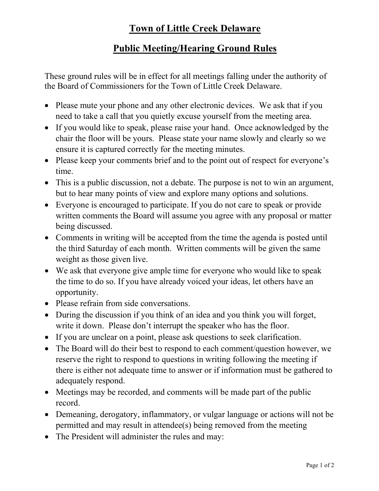# **Town of Little Creek Delaware**

### **Public Meeting/Hearing Ground Rules**

These ground rules will be in effect for all meetings falling under the authority of the Board of Commissioners for the Town of Little Creek Delaware.

- Please mute your phone and any other electronic devices. We ask that if you need to take a call that you quietly excuse yourself from the meeting area.
- If you would like to speak, please raise your hand. Once acknowledged by the chair the floor will be yours. Please state your name slowly and clearly so we ensure it is captured correctly for the meeting minutes.
- Please keep your comments brief and to the point out of respect for everyone's time.
- This is a public discussion, not a debate. The purpose is not to win an argument, but to hear many points of view and explore many options and solutions.
- Everyone is encouraged to participate. If you do not care to speak or provide written comments the Board will assume you agree with any proposal or matter being discussed.
- Comments in writing will be accepted from the time the agenda is posted until the third Saturday of each month. Written comments will be given the same weight as those given live.
- We ask that everyone give ample time for everyone who would like to speak the time to do so. If you have already voiced your ideas, let others have an opportunity.
- Please refrain from side conversations.
- During the discussion if you think of an idea and you think you will forget, write it down. Please don't interrupt the speaker who has the floor.
- If you are unclear on a point, please ask questions to seek clarification.
- The Board will do their best to respond to each comment/question however, we reserve the right to respond to questions in writing following the meeting if there is either not adequate time to answer or if information must be gathered to adequately respond.
- Meetings may be recorded, and comments will be made part of the public record.
- Demeaning, derogatory, inflammatory, or vulgar language or actions will not be permitted and may result in attendee(s) being removed from the meeting
- The President will administer the rules and may: